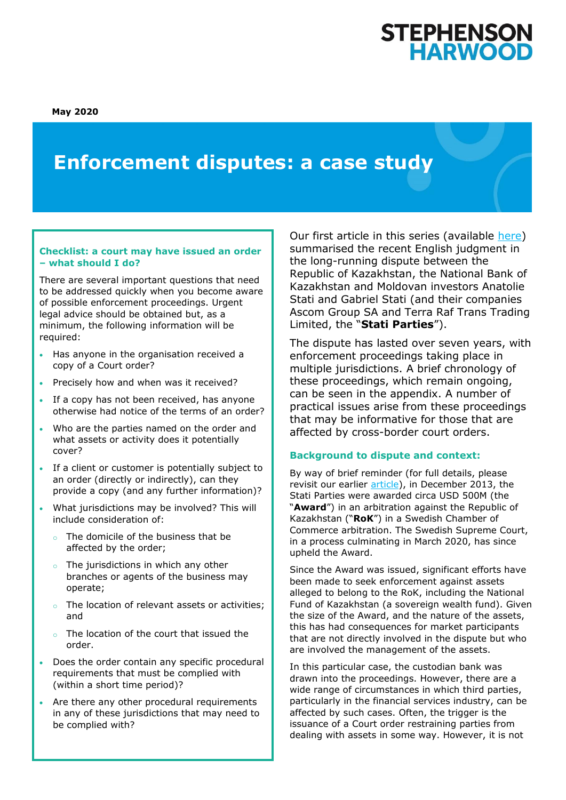**May 2020**

# **Enforcement disputes: a case study**

## **Checklist: a court may have issued an order – what should I do?**

There are several important questions that need to be addressed quickly when you become aware of possible enforcement proceedings. Urgent legal advice should be obtained but, as a minimum, the following information will be required:

- Has anyone in the organisation received a copy of a Court order?
- Precisely how and when was it received?
- If a copy has not been received, has anyone otherwise had notice of the terms of an order?
- Who are the parties named on the order and what assets or activity does it potentially cover?
- If a client or customer is potentially subject to an order (directly or indirectly), can they provide a copy (and any further information)?
- What jurisdictions may be involved? This will include consideration of:
	- o The domicile of the business that be affected by the order;
	- o The jurisdictions in which any other branches or agents of the business may operate;
	- The location of relevant assets or activities; and
	- o The location of the court that issued the order.
- Does the order contain any specific procedural requirements that must be complied with (within a short time period)?
- Are there any other procedural requirements in any of these jurisdictions that may need to be complied with?

Our first article in this series (available [here\)](https://www.shlegal.com/insights/enforcement-in-the-asset-management-context-what-is-the-relevant-asset-and-who-does-it-belong-to) summarised the recent English judgment in the long-running dispute between the Republic of Kazakhstan, the National Bank of Kazakhstan and Moldovan investors Anatolie Stati and Gabriel Stati (and their companies Ascom Group SA and Terra Raf Trans Trading Limited, the "**Stati Parties**").

The dispute has lasted over seven years, with enforcement proceedings taking place in multiple jurisdictions. A brief chronology of these proceedings, which remain ongoing, can be seen in the appendix. A number of practical issues arise from these proceedings that may be informative for those that are affected by cross-border court orders.

# **Background to dispute and context:**

By way of brief reminder (for full details, please revisit our earlier [article\)](https://www.shlegal.com/insights/enforcement-in-the-asset-management-context-what-is-the-relevant-asset-and-who-does-it-belong-to), in December 2013, the Stati Parties were awarded circa USD 500M (the "**Award**") in an arbitration against the Republic of Kazakhstan ("**RoK**") in a Swedish Chamber of Commerce arbitration. The Swedish Supreme Court, in a process culminating in March 2020, has since upheld the Award.

Since the Award was issued, significant efforts have been made to seek enforcement against assets alleged to belong to the RoK, including the National Fund of Kazakhstan (a sovereign wealth fund). Given the size of the Award, and the nature of the assets, this has had consequences for market participants that are not directly involved in the dispute but who are involved the management of the assets.

In this particular case, the custodian bank was drawn into the proceedings. However, there are a wide range of circumstances in which third parties, particularly in the financial services industry, can be affected by such cases. Often, the trigger is the issuance of a Court order restraining parties from dealing with assets in some way. However, it is not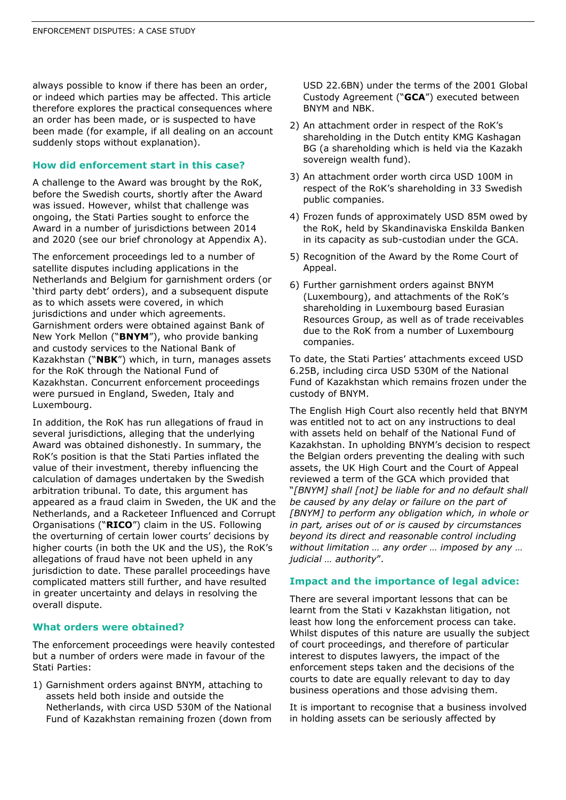always possible to know if there has been an order, or indeed which parties may be affected. This article therefore explores the practical consequences where an order has been made, or is suspected to have been made (for example, if all dealing on an account suddenly stops without explanation).

#### **How did enforcement start in this case?**

A challenge to the Award was brought by the RoK, before the Swedish courts, shortly after the Award was issued. However, whilst that challenge was ongoing, the Stati Parties sought to enforce the Award in a number of jurisdictions between 2014 and 2020 (see our brief chronology at Appendix A).

The enforcement proceedings led to a number of satellite disputes including applications in the Netherlands and Belgium for garnishment orders (or 'third party debt' orders), and a subsequent dispute as to which assets were covered, in which jurisdictions and under which agreements. Garnishment orders were obtained against Bank of New York Mellon ("**BNYM**"), who provide banking and custody services to the National Bank of Kazakhstan ("**NBK**") which, in turn, manages assets for the RoK through the National Fund of Kazakhstan. Concurrent enforcement proceedings were pursued in England, Sweden, Italy and Luxembourg.

In addition, the RoK has run allegations of fraud in several jurisdictions, alleging that the underlying Award was obtained dishonestly. In summary, the RoK's position is that the Stati Parties inflated the value of their investment, thereby influencing the calculation of damages undertaken by the Swedish arbitration tribunal. To date, this argument has appeared as a fraud claim in Sweden, the UK and the Netherlands, and a Racketeer Influenced and Corrupt Organisations ("**RICO**") claim in the US. Following the overturning of certain lower courts' decisions by higher courts (in both the UK and the US), the RoK's allegations of fraud have not been upheld in any jurisdiction to date. These parallel proceedings have complicated matters still further, and have resulted in greater uncertainty and delays in resolving the overall dispute.

#### **What orders were obtained?**

The enforcement proceedings were heavily contested but a number of orders were made in favour of the Stati Parties:

1) Garnishment orders against BNYM, attaching to assets held both inside and outside the Netherlands, with circa USD 530M of the National Fund of Kazakhstan remaining frozen (down from

USD 22.6BN) under the terms of the 2001 Global Custody Agreement ("**GCA**") executed between BNYM and NBK.

- 2) An attachment order in respect of the RoK's shareholding in the Dutch entity KMG Kashagan BG (a shareholding which is held via the Kazakh sovereign wealth fund).
- 3) An attachment order worth circa USD 100M in respect of the RoK's shareholding in 33 Swedish public companies.
- 4) Frozen funds of approximately USD 85M owed by the RoK, held by Skandinaviska Enskilda Banken in its capacity as sub-custodian under the GCA.
- 5) Recognition of the Award by the Rome Court of Appeal.
- 6) Further garnishment orders against BNYM (Luxembourg), and attachments of the RoK's shareholding in Luxembourg based Eurasian Resources Group, as well as of trade receivables due to the RoK from a number of Luxembourg companies.

To date, the Stati Parties' attachments exceed USD 6.25B, including circa USD 530M of the National Fund of Kazakhstan which remains frozen under the custody of BNYM.

The English High Court also recently held that BNYM was entitled not to act on any instructions to deal with assets held on behalf of the National Fund of Kazakhstan. In upholding BNYM's decision to respect the Belgian orders preventing the dealing with such assets, the UK High Court and the Court of Appeal reviewed a term of the GCA which provided that "*[BNYM] shall [not] be liable for and no default shall be caused by any delay or failure on the part of [BNYM] to perform any obligation which, in whole or in part, arises out of or is caused by circumstances beyond its direct and reasonable control including without limitation … any order … imposed by any … judicial … authority*".

#### **Impact and the importance of legal advice:**

There are several important lessons that can be learnt from the Stati v Kazakhstan litigation, not least how long the enforcement process can take. Whilst disputes of this nature are usually the subject of court proceedings, and therefore of particular interest to disputes lawyers, the impact of the enforcement steps taken and the decisions of the courts to date are equally relevant to day to day business operations and those advising them.

It is important to recognise that a business involved in holding assets can be seriously affected by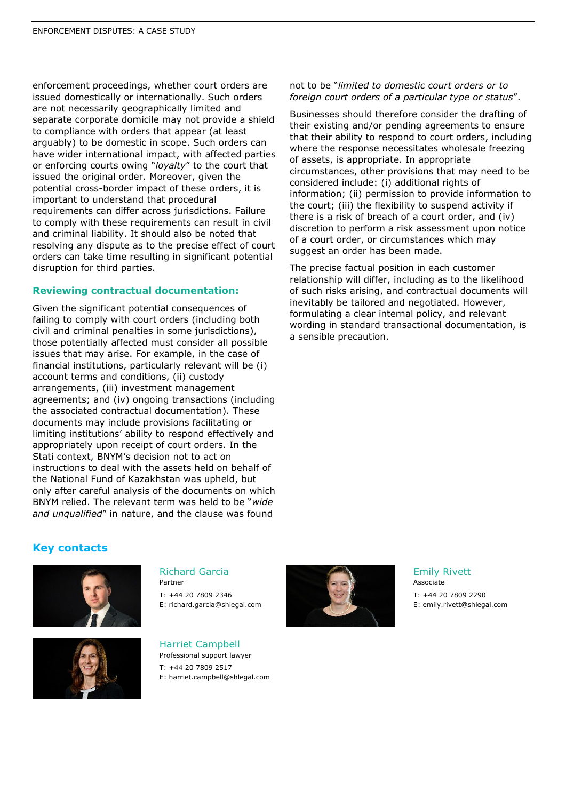enforcement proceedings, whether court orders are issued domestically or internationally. Such orders are not necessarily geographically limited and separate corporate domicile may not provide a shield to compliance with orders that appear (at least arguably) to be domestic in scope. Such orders can have wider international impact, with affected parties or enforcing courts owing "*loyalty*" to the court that issued the original order. Moreover, given the potential cross-border impact of these orders, it is important to understand that procedural requirements can differ across jurisdictions. Failure to comply with these requirements can result in civil and criminal liability. It should also be noted that resolving any dispute as to the precise effect of court orders can take time resulting in significant potential disruption for third parties.

# **Reviewing contractual documentation:**

Given the significant potential consequences of failing to comply with court orders (including both civil and criminal penalties in some jurisdictions), those potentially affected must consider all possible issues that may arise. For example, in the case of financial institutions, particularly relevant will be (i) account terms and conditions, (ii) custody arrangements, (iii) investment management agreements; and (iv) ongoing transactions (including the associated contractual documentation). These documents may include provisions facilitating or limiting institutions' ability to respond effectively and appropriately upon receipt of court orders. In the Stati context, BNYM's decision not to act on instructions to deal with the assets held on behalf of the National Fund of Kazakhstan was upheld, but only after careful analysis of the documents on which BNYM relied. The relevant term was held to be "*wide and unqualified*" in nature, and the clause was found

not to be "*limited to domestic court orders or to foreign court orders of a particular type or status*".

Businesses should therefore consider the drafting of their existing and/or pending agreements to ensure that their ability to respond to court orders, including where the response necessitates wholesale freezing of assets, is appropriate. In appropriate circumstances, other provisions that may need to be considered include: (i) additional rights of information; (ii) permission to provide information to the court; (iii) the flexibility to suspend activity if there is a risk of breach of a court order, and (iv) discretion to perform a risk assessment upon notice of a court order, or circumstances which may suggest an order has been made.

The precise factual position in each customer relationship will differ, including as to the likelihood of such risks arising, and contractual documents will inevitably be tailored and negotiated. However, formulating a clear internal policy, and relevant wording in standard transactional documentation, is a sensible precaution.

# **Key contacts**





### Richard Garcia

Partner T: +44 20 7809 2346 E: richard.garcia@shlegal.com

Harriet Campbell Professional support lawyer T: +44 20 7809 2517 E: harriet.campbell@shlegal.com



#### Emily Rivett Associate

T: +44 20 7809 2290 E: emily.rivett@shlegal.com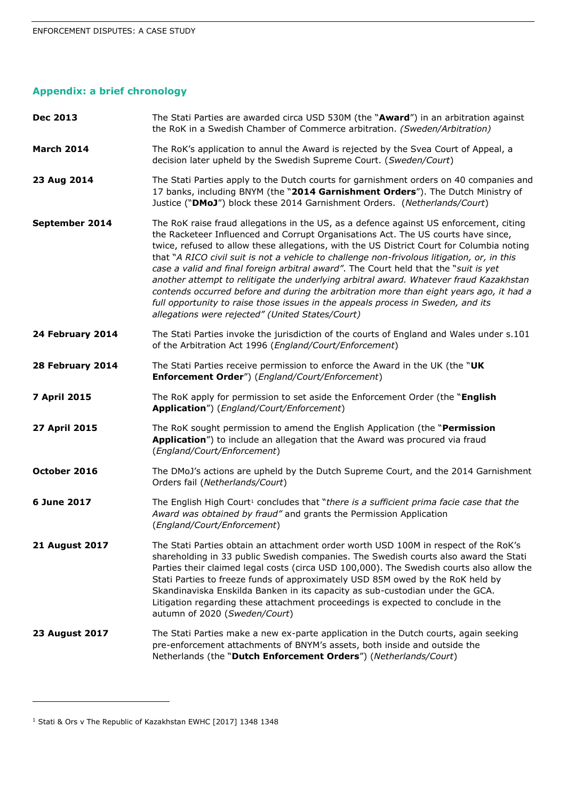# **Appendix: a brief chronology**

| <b>Dec 2013</b>       | The Stati Parties are awarded circa USD 530M (the "Award") in an arbitration against<br>the RoK in a Swedish Chamber of Commerce arbitration. (Sweden/Arbitration)                                                                                                                                                                                                                                                                                                                                                                                                                                                                                                                                                                                                                           |
|-----------------------|----------------------------------------------------------------------------------------------------------------------------------------------------------------------------------------------------------------------------------------------------------------------------------------------------------------------------------------------------------------------------------------------------------------------------------------------------------------------------------------------------------------------------------------------------------------------------------------------------------------------------------------------------------------------------------------------------------------------------------------------------------------------------------------------|
| <b>March 2014</b>     | The RoK's application to annul the Award is rejected by the Svea Court of Appeal, a<br>decision later upheld by the Swedish Supreme Court. (Sweden/Court)                                                                                                                                                                                                                                                                                                                                                                                                                                                                                                                                                                                                                                    |
| 23 Aug 2014           | The Stati Parties apply to the Dutch courts for garnishment orders on 40 companies and<br>17 banks, including BNYM (the "2014 Garnishment Orders"). The Dutch Ministry of<br>Justice ("DMoJ") block these 2014 Garnishment Orders. (Netherlands/Court)                                                                                                                                                                                                                                                                                                                                                                                                                                                                                                                                       |
| September 2014        | The RoK raise fraud allegations in the US, as a defence against US enforcement, citing<br>the Racketeer Influenced and Corrupt Organisations Act. The US courts have since,<br>twice, refused to allow these allegations, with the US District Court for Columbia noting<br>that "A RICO civil suit is not a vehicle to challenge non-frivolous litigation, or, in this<br>case a valid and final foreign arbitral award". The Court held that the "suit is yet<br>another attempt to relitigate the underlying arbitral award. Whatever fraud Kazakhstan<br>contends occurred before and during the arbitration more than eight years ago, it had a<br>full opportunity to raise those issues in the appeals process in Sweden, and its<br>allegations were rejected" (United States/Court) |
| 24 February 2014      | The Stati Parties invoke the jurisdiction of the courts of England and Wales under s.101<br>of the Arbitration Act 1996 (England/Court/Enforcement)                                                                                                                                                                                                                                                                                                                                                                                                                                                                                                                                                                                                                                          |
| 28 February 2014      | The Stati Parties receive permission to enforce the Award in the UK (the "UK<br><b>Enforcement Order")</b> (England/Court/Enforcement)                                                                                                                                                                                                                                                                                                                                                                                                                                                                                                                                                                                                                                                       |
| <b>7 April 2015</b>   | The RoK apply for permission to set aside the Enforcement Order (the "English<br>Application") (England/Court/Enforcement)                                                                                                                                                                                                                                                                                                                                                                                                                                                                                                                                                                                                                                                                   |
| 27 April 2015         | The RoK sought permission to amend the English Application (the "Permission<br>Application") to include an allegation that the Award was procured via fraud<br>(England/Court/Enforcement)                                                                                                                                                                                                                                                                                                                                                                                                                                                                                                                                                                                                   |
| October 2016          | The DMoJ's actions are upheld by the Dutch Supreme Court, and the 2014 Garnishment<br>Orders fail (Netherlands/Court)                                                                                                                                                                                                                                                                                                                                                                                                                                                                                                                                                                                                                                                                        |
| 6 June 2017           | The English High Court <sup>1</sup> concludes that "there is a sufficient prima facie case that the<br>Award was obtained by fraud" and grants the Permission Application<br>(England/Court/Enforcement)                                                                                                                                                                                                                                                                                                                                                                                                                                                                                                                                                                                     |
| <b>21 August 2017</b> | The Stati Parties obtain an attachment order worth USD 100M in respect of the RoK's<br>shareholding in 33 public Swedish companies. The Swedish courts also award the Stati<br>Parties their claimed legal costs (circa USD 100,000). The Swedish courts also allow the<br>Stati Parties to freeze funds of approximately USD 85M owed by the RoK held by<br>Skandinaviska Enskilda Banken in its capacity as sub-custodian under the GCA.<br>Litigation regarding these attachment proceedings is expected to conclude in the<br>autumn of 2020 (Sweden/Court)                                                                                                                                                                                                                              |
| <b>23 August 2017</b> | The Stati Parties make a new ex-parte application in the Dutch courts, again seeking<br>pre-enforcement attachments of BNYM's assets, both inside and outside the<br>Netherlands (the "Dutch Enforcement Orders") (Netherlands/Court)                                                                                                                                                                                                                                                                                                                                                                                                                                                                                                                                                        |

ł

<sup>1</sup> Stati & Ors v The Republic of Kazakhstan EWHC [2017] 1348 1348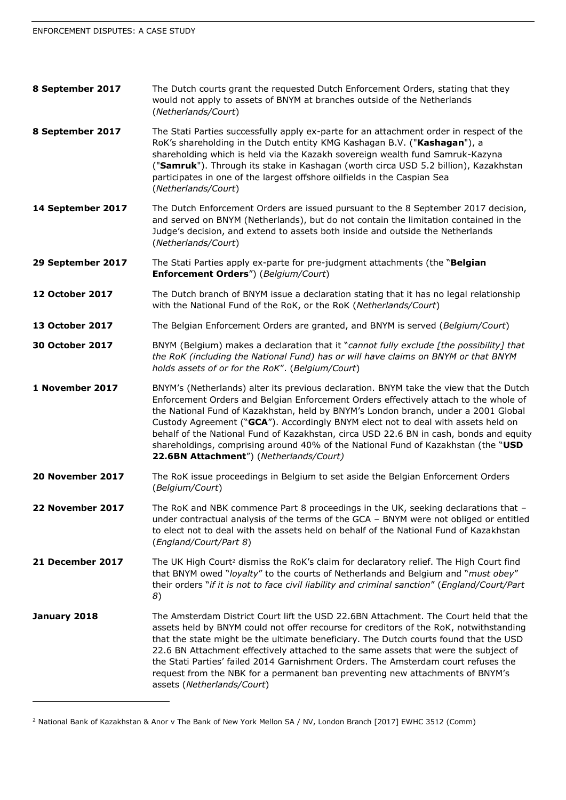| 8 September 2017       | The Dutch courts grant the requested Dutch Enforcement Orders, stating that they<br>would not apply to assets of BNYM at branches outside of the Netherlands<br>(Netherlands/Court)                                                                                                                                                                                                                                                                                                                                                                                                 |
|------------------------|-------------------------------------------------------------------------------------------------------------------------------------------------------------------------------------------------------------------------------------------------------------------------------------------------------------------------------------------------------------------------------------------------------------------------------------------------------------------------------------------------------------------------------------------------------------------------------------|
| 8 September 2017       | The Stati Parties successfully apply ex-parte for an attachment order in respect of the<br>RoK's shareholding in the Dutch entity KMG Kashagan B.V. ("Kashagan"), a<br>shareholding which is held via the Kazakh sovereign wealth fund Samruk-Kazyna<br>("Samruk"). Through its stake in Kashagan (worth circa USD 5.2 billion), Kazakhstan<br>participates in one of the largest offshore oilfields in the Caspian Sea<br>(Netherlands/Court)                                                                                                                                      |
| 14 September 2017      | The Dutch Enforcement Orders are issued pursuant to the 8 September 2017 decision,<br>and served on BNYM (Netherlands), but do not contain the limitation contained in the<br>Judge's decision, and extend to assets both inside and outside the Netherlands<br>(Netherlands/Court)                                                                                                                                                                                                                                                                                                 |
| 29 September 2017      | The Stati Parties apply ex-parte for pre-judgment attachments (the "Belgian<br><b>Enforcement Orders")</b> (Belgium/Court)                                                                                                                                                                                                                                                                                                                                                                                                                                                          |
| 12 October 2017        | The Dutch branch of BNYM issue a declaration stating that it has no legal relationship<br>with the National Fund of the RoK, or the RoK (Netherlands/Court)                                                                                                                                                                                                                                                                                                                                                                                                                         |
| 13 October 2017        | The Belgian Enforcement Orders are granted, and BNYM is served (Belgium/Court)                                                                                                                                                                                                                                                                                                                                                                                                                                                                                                      |
| <b>30 October 2017</b> | BNYM (Belgium) makes a declaration that it "cannot fully exclude [the possibility] that<br>the RoK (including the National Fund) has or will have claims on BNYM or that BNYM<br>holds assets of or for the RoK". (Belgium/Court)                                                                                                                                                                                                                                                                                                                                                   |
| 1 November 2017        | BNYM's (Netherlands) alter its previous declaration. BNYM take the view that the Dutch<br>Enforcement Orders and Belgian Enforcement Orders effectively attach to the whole of<br>the National Fund of Kazakhstan, held by BNYM's London branch, under a 2001 Global<br>Custody Agreement ("GCA"). Accordingly BNYM elect not to deal with assets held on<br>behalf of the National Fund of Kazakhstan, circa USD 22.6 BN in cash, bonds and equity<br>shareholdings, comprising around 40% of the National Fund of Kazakhstan (the "USD<br>22.6BN Attachment") (Netherlands/Court) |
| 20 November 2017       | The RoK issue proceedings in Belgium to set aside the Belgian Enforcement Orders<br>(Belgium/Court)                                                                                                                                                                                                                                                                                                                                                                                                                                                                                 |
| 22 November 2017       | The RoK and NBK commence Part 8 proceedings in the UK, seeking declarations that -<br>under contractual analysis of the terms of the GCA - BNYM were not obliged or entitled<br>to elect not to deal with the assets held on behalf of the National Fund of Kazakhstan<br>(England/Court/Part 8)                                                                                                                                                                                                                                                                                    |
| 21 December 2017       | The UK High Court <sup>2</sup> dismiss the RoK's claim for declaratory relief. The High Court find<br>that BNYM owed "loyalty" to the courts of Netherlands and Belgium and "must obey"<br>their orders "if it is not to face civil liability and criminal sanction" (England/Court/Part<br>8)                                                                                                                                                                                                                                                                                      |
| January 2018           | The Amsterdam District Court lift the USD 22.6BN Attachment. The Court held that the<br>assets held by BNYM could not offer recourse for creditors of the RoK, notwithstanding<br>that the state might be the ultimate beneficiary. The Dutch courts found that the USD<br>22.6 BN Attachment effectively attached to the same assets that were the subject of<br>the Stati Parties' failed 2014 Garnishment Orders. The Amsterdam court refuses the<br>request from the NBK for a permanent ban preventing new attachments of BNYM's<br>assets (Netherlands/Court)                 |

<sup>2</sup> National Bank of Kazakhstan & Anor v The Bank of New York Mellon SA / NV, London Branch [2017] EWHC 3512 (Comm)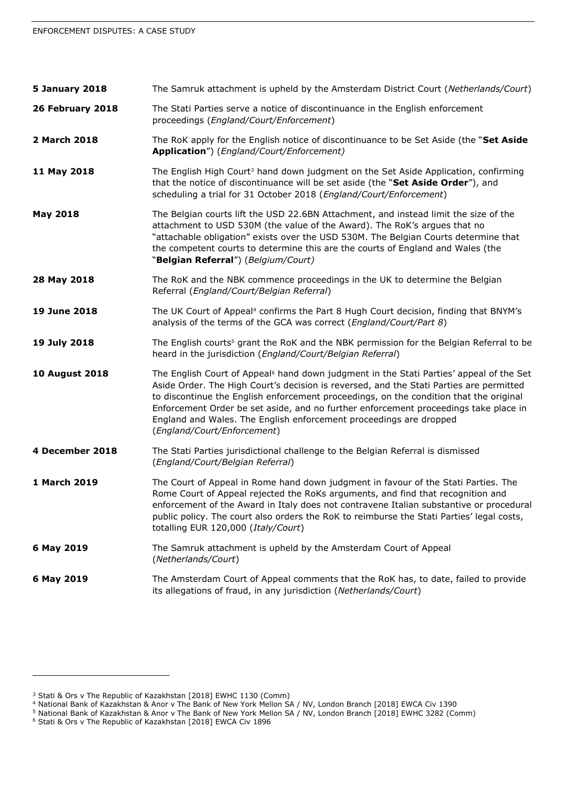| <b>5 January 2018</b> | The Samruk attachment is upheld by the Amsterdam District Court (Netherlands/Court)                                                                                                                                                                                                                                                                                                                                                                                                   |
|-----------------------|---------------------------------------------------------------------------------------------------------------------------------------------------------------------------------------------------------------------------------------------------------------------------------------------------------------------------------------------------------------------------------------------------------------------------------------------------------------------------------------|
| 26 February 2018      | The Stati Parties serve a notice of discontinuance in the English enforcement<br>proceedings (England/Court/Enforcement)                                                                                                                                                                                                                                                                                                                                                              |
| 2 March 2018          | The RoK apply for the English notice of discontinuance to be Set Aside (the "Set Aside<br>Application") (England/Court/Enforcement)                                                                                                                                                                                                                                                                                                                                                   |
| 11 May 2018           | The English High Court <sup>3</sup> hand down judgment on the Set Aside Application, confirming<br>that the notice of discontinuance will be set aside (the "Set Aside Order"), and<br>scheduling a trial for 31 October 2018 (England/Court/Enforcement)                                                                                                                                                                                                                             |
| <b>May 2018</b>       | The Belgian courts lift the USD 22.6BN Attachment, and instead limit the size of the<br>attachment to USD 530M (the value of the Award). The RoK's argues that no<br>"attachable obligation" exists over the USD 530M. The Belgian Courts determine that<br>the competent courts to determine this are the courts of England and Wales (the<br>"Belgian Referral") (Belgium/Court)                                                                                                    |
| 28 May 2018           | The RoK and the NBK commence proceedings in the UK to determine the Belgian<br>Referral (England/Court/Belgian Referral)                                                                                                                                                                                                                                                                                                                                                              |
| 19 June 2018          | The UK Court of Appeal <sup>4</sup> confirms the Part 8 Hugh Court decision, finding that BNYM's<br>analysis of the terms of the GCA was correct (England/Court/Part 8)                                                                                                                                                                                                                                                                                                               |
| 19 July 2018          | The English courts <sup>5</sup> grant the RoK and the NBK permission for the Belgian Referral to be<br>heard in the jurisdiction (England/Court/Belgian Referral)                                                                                                                                                                                                                                                                                                                     |
| <b>10 August 2018</b> | The English Court of Appeal <sup>6</sup> hand down judgment in the Stati Parties' appeal of the Set<br>Aside Order. The High Court's decision is reversed, and the Stati Parties are permitted<br>to discontinue the English enforcement proceedings, on the condition that the original<br>Enforcement Order be set aside, and no further enforcement proceedings take place in<br>England and Wales. The English enforcement proceedings are dropped<br>(England/Court/Enforcement) |
| 4 December 2018       | The Stati Parties jurisdictional challenge to the Belgian Referral is dismissed<br>(England/Court/Belgian Referral)                                                                                                                                                                                                                                                                                                                                                                   |
| 1 March 2019          | The Court of Appeal in Rome hand down judgment in favour of the Stati Parties. The<br>Rome Court of Appeal rejected the RoKs arguments, and find that recognition and<br>enforcement of the Award in Italy does not contravene Italian substantive or procedural<br>public policy. The court also orders the RoK to reimburse the Stati Parties' legal costs,<br>totalling EUR 120,000 (Italy/Court)                                                                                  |
| 6 May 2019            | The Samruk attachment is upheld by the Amsterdam Court of Appeal<br>(Netherlands/Court)                                                                                                                                                                                                                                                                                                                                                                                               |
| 6 May 2019            | The Amsterdam Court of Appeal comments that the RoK has, to date, failed to provide<br>its allegations of fraud, in any jurisdiction (Netherlands/Court)                                                                                                                                                                                                                                                                                                                              |

ł

<sup>3</sup> Stati & Ors v The Republic of Kazakhstan [2018] EWHC 1130 (Comm)

<sup>4</sup> National Bank of Kazakhstan & Anor v The Bank of New York Mellon SA / NV, London Branch [2018] EWCA Civ 1390

<sup>5</sup> National Bank of Kazakhstan & Anor v The Bank of New York Mellon SA / NV, London Branch [2018] EWHC 3282 (Comm)

<sup>6</sup> Stati & Ors v The Republic of Kazakhstan [2018] EWCA Civ 1896